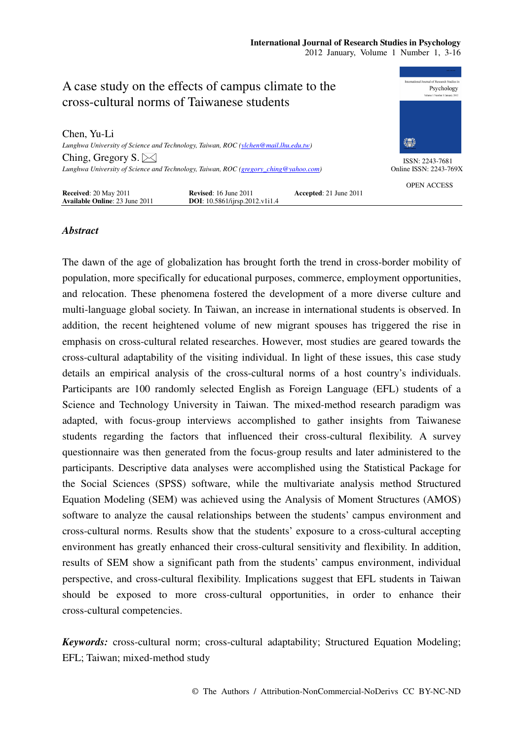

# *Abstract*

The dawn of the age of globalization has brought forth the trend in cross-border mobility of population, more specifically for educational purposes, commerce, employment opportunities, and relocation. These phenomena fostered the development of a more diverse culture and multi-language global society. In Taiwan, an increase in international students is observed. In addition, the recent heightened volume of new migrant spouses has triggered the rise in emphasis on cross-cultural related researches. However, most studies are geared towards the cross-cultural adaptability of the visiting individual. In light of these issues, this case study details an empirical analysis of the cross-cultural norms of a host country's individuals. Participants are 100 randomly selected English as Foreign Language (EFL) students of a Science and Technology University in Taiwan. The mixed-method research paradigm was adapted, with focus-group interviews accomplished to gather insights from Taiwanese students regarding the factors that influenced their cross-cultural flexibility. A survey questionnaire was then generated from the focus-group results and later administered to the participants. Descriptive data analyses were accomplished using the Statistical Package for the Social Sciences (SPSS) software, while the multivariate analysis method Structured Equation Modeling (SEM) was achieved using the Analysis of Moment Structures (AMOS) software to analyze the causal relationships between the students' campus environment and cross-cultural norms. Results show that the students' exposure to a cross-cultural accepting environment has greatly enhanced their cross-cultural sensitivity and flexibility. In addition, results of SEM show a significant path from the students' campus environment, individual perspective, and cross-cultural flexibility. Implications suggest that EFL students in Taiwan should be exposed to more cross-cultural opportunities, in order to enhance their cross-cultural competencies.

*Keywords:* cross-cultural norm; cross-cultural adaptability; Structured Equation Modeling; EFL; Taiwan; mixed-method study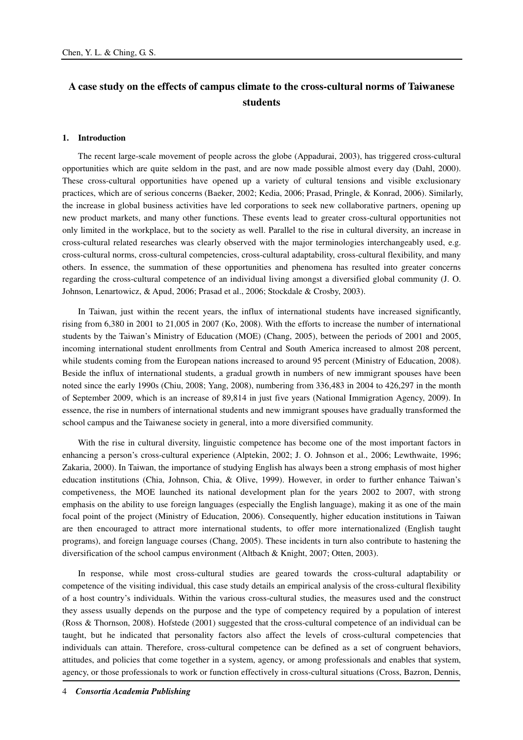# **A case study on the effects of campus climate to the cross-cultural norms of Taiwanese students**

#### **1. Introduction**

The recent large-scale movement of people across the globe (Appadurai, 2003), has triggered cross-cultural opportunities which are quite seldom in the past, and are now made possible almost every day (Dahl, 2000). These cross-cultural opportunities have opened up a variety of cultural tensions and visible exclusionary practices, which are of serious concerns (Baeker, 2002; Kedia, 2006; Prasad, Pringle, & Konrad, 2006). Similarly, the increase in global business activities have led corporations to seek new collaborative partners, opening up new product markets, and many other functions. These events lead to greater cross-cultural opportunities not only limited in the workplace, but to the society as well. Parallel to the rise in cultural diversity, an increase in cross-cultural related researches was clearly observed with the major terminologies interchangeably used, e.g. cross-cultural norms, cross-cultural competencies, cross-cultural adaptability, cross-cultural flexibility, and many others. In essence, the summation of these opportunities and phenomena has resulted into greater concerns regarding the cross-cultural competence of an individual living amongst a diversified global community (J. O. Johnson, Lenartowicz, & Apud, 2006; Prasad et al., 2006; Stockdale & Crosby, 2003).

In Taiwan, just within the recent years, the influx of international students have increased significantly, rising from 6,380 in 2001 to 21,005 in 2007 (Ko, 2008). With the efforts to increase the number of international students by the Taiwan's Ministry of Education (MOE) (Chang, 2005), between the periods of 2001 and 2005, incoming international student enrollments from Central and South America increased to almost 208 percent, while students coming from the European nations increased to around 95 percent (Ministry of Education, 2008). Beside the influx of international students, a gradual growth in numbers of new immigrant spouses have been noted since the early 1990s (Chiu, 2008; Yang, 2008), numbering from 336,483 in 2004 to 426,297 in the month of September 2009, which is an increase of 89,814 in just five years (National Immigration Agency, 2009). In essence, the rise in numbers of international students and new immigrant spouses have gradually transformed the school campus and the Taiwanese society in general, into a more diversified community.

With the rise in cultural diversity, linguistic competence has become one of the most important factors in enhancing a person's cross-cultural experience (Alptekin, 2002; J. O. Johnson et al., 2006; Lewthwaite, 1996; Zakaria, 2000). In Taiwan, the importance of studying English has always been a strong emphasis of most higher education institutions (Chia, Johnson, Chia, & Olive, 1999). However, in order to further enhance Taiwan's competiveness, the MOE launched its national development plan for the years 2002 to 2007, with strong emphasis on the ability to use foreign languages (especially the English language), making it as one of the main focal point of the project (Ministry of Education, 2006). Consequently, higher education institutions in Taiwan are then encouraged to attract more international students, to offer more internationalized (English taught programs), and foreign language courses (Chang, 2005). These incidents in turn also contribute to hastening the diversification of the school campus environment (Altbach & Knight, 2007; Otten, 2003).

In response, while most cross-cultural studies are geared towards the cross-cultural adaptability or competence of the visiting individual, this case study details an empirical analysis of the cross-cultural flexibility of a host country's individuals. Within the various cross-cultural studies, the measures used and the construct they assess usually depends on the purpose and the type of competency required by a population of interest (Ross & Thornson, 2008). Hofstede (2001) suggested that the cross-cultural competence of an individual can be taught, but he indicated that personality factors also affect the levels of cross-cultural competencies that individuals can attain. Therefore, cross-cultural competence can be defined as a set of congruent behaviors, attitudes, and policies that come together in a system, agency, or among professionals and enables that system, agency, or those professionals to work or function effectively in cross-cultural situations (Cross, Bazron, Dennis,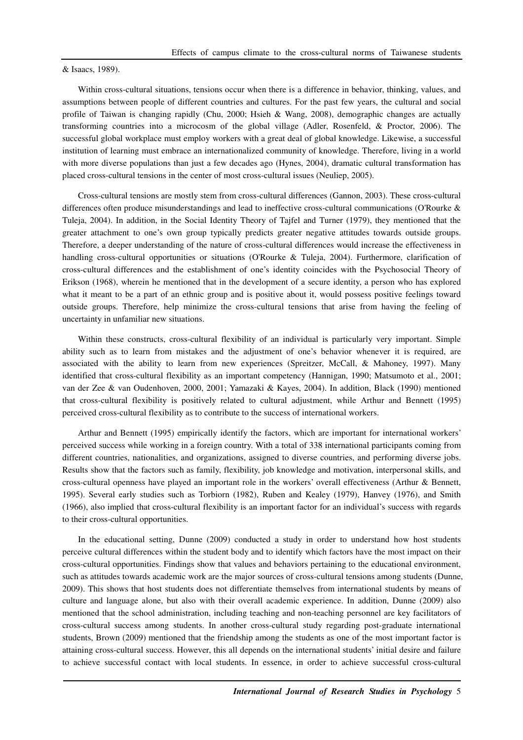& Isaacs, 1989).

Within cross-cultural situations, tensions occur when there is a difference in behavior, thinking, values, and assumptions between people of different countries and cultures. For the past few years, the cultural and social profile of Taiwan is changing rapidly (Chu, 2000; Hsieh & Wang, 2008), demographic changes are actually transforming countries into a microcosm of the global village (Adler, Rosenfeld, & Proctor, 2006). The successful global workplace must employ workers with a great deal of global knowledge. Likewise, a successful institution of learning must embrace an internationalized community of knowledge. Therefore, living in a world with more diverse populations than just a few decades ago (Hynes, 2004), dramatic cultural transformation has placed cross-cultural tensions in the center of most cross-cultural issues (Neuliep, 2005).

Cross-cultural tensions are mostly stem from cross-cultural differences (Gannon, 2003). These cross-cultural differences often produce misunderstandings and lead to ineffective cross-cultural communications (O'Rourke & Tuleja, 2004). In addition, in the Social Identity Theory of Tajfel and Turner (1979), they mentioned that the greater attachment to one's own group typically predicts greater negative attitudes towards outside groups. Therefore, a deeper understanding of the nature of cross-cultural differences would increase the effectiveness in handling cross-cultural opportunities or situations (O'Rourke & Tuleja, 2004). Furthermore, clarification of cross-cultural differences and the establishment of one's identity coincides with the Psychosocial Theory of Erikson (1968), wherein he mentioned that in the development of a secure identity, a person who has explored what it meant to be a part of an ethnic group and is positive about it, would possess positive feelings toward outside groups. Therefore, help minimize the cross-cultural tensions that arise from having the feeling of uncertainty in unfamiliar new situations.

Within these constructs, cross-cultural flexibility of an individual is particularly very important. Simple ability such as to learn from mistakes and the adjustment of one's behavior whenever it is required, are associated with the ability to learn from new experiences (Spreitzer, McCall, & Mahoney, 1997). Many identified that cross-cultural flexibility as an important competency (Hannigan, 1990; Matsumoto et al., 2001; van der Zee & van Oudenhoven, 2000, 2001; Yamazaki & Kayes, 2004). In addition, Black (1990) mentioned that cross-cultural flexibility is positively related to cultural adjustment, while Arthur and Bennett (1995) perceived cross-cultural flexibility as to contribute to the success of international workers.

Arthur and Bennett (1995) empirically identify the factors, which are important for international workers' perceived success while working in a foreign country. With a total of 338 international participants coming from different countries, nationalities, and organizations, assigned to diverse countries, and performing diverse jobs. Results show that the factors such as family, flexibility, job knowledge and motivation, interpersonal skills, and cross-cultural openness have played an important role in the workers' overall effectiveness (Arthur & Bennett, 1995). Several early studies such as Torbiorn (1982), Ruben and Kealey (1979), Hanvey (1976), and Smith (1966), also implied that cross-cultural flexibility is an important factor for an individual's success with regards to their cross-cultural opportunities.

In the educational setting, Dunne (2009) conducted a study in order to understand how host students perceive cultural differences within the student body and to identify which factors have the most impact on their cross-cultural opportunities. Findings show that values and behaviors pertaining to the educational environment, such as attitudes towards academic work are the major sources of cross-cultural tensions among students (Dunne, 2009). This shows that host students does not differentiate themselves from international students by means of culture and language alone, but also with their overall academic experience. In addition, Dunne (2009) also mentioned that the school administration, including teaching and non-teaching personnel are key facilitators of cross-cultural success among students. In another cross-cultural study regarding post-graduate international students, Brown (2009) mentioned that the friendship among the students as one of the most important factor is attaining cross-cultural success. However, this all depends on the international students' initial desire and failure to achieve successful contact with local students. In essence, in order to achieve successful cross-cultural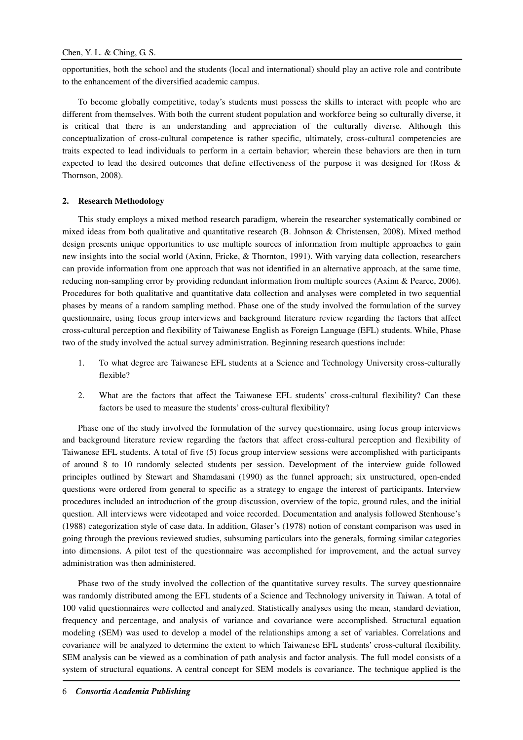opportunities, both the school and the students (local and international) should play an active role and contribute to the enhancement of the diversified academic campus.

To become globally competitive, today's students must possess the skills to interact with people who are different from themselves. With both the current student population and workforce being so culturally diverse, it is critical that there is an understanding and appreciation of the culturally diverse. Although this conceptualization of cross-cultural competence is rather specific, ultimately, cross-cultural competencies are traits expected to lead individuals to perform in a certain behavior; wherein these behaviors are then in turn expected to lead the desired outcomes that define effectiveness of the purpose it was designed for (Ross & Thornson, 2008).

#### **2. Research Methodology**

This study employs a mixed method research paradigm, wherein the researcher systematically combined or mixed ideas from both qualitative and quantitative research (B. Johnson & Christensen, 2008). Mixed method design presents unique opportunities to use multiple sources of information from multiple approaches to gain new insights into the social world (Axinn, Fricke, & Thornton, 1991). With varying data collection, researchers can provide information from one approach that was not identified in an alternative approach, at the same time, reducing non-sampling error by providing redundant information from multiple sources (Axinn & Pearce, 2006). Procedures for both qualitative and quantitative data collection and analyses were completed in two sequential phases by means of a random sampling method. Phase one of the study involved the formulation of the survey questionnaire, using focus group interviews and background literature review regarding the factors that affect cross-cultural perception and flexibility of Taiwanese English as Foreign Language (EFL) students. While, Phase two of the study involved the actual survey administration. Beginning research questions include:

- 1. To what degree are Taiwanese EFL students at a Science and Technology University cross-culturally flexible?
- 2. What are the factors that affect the Taiwanese EFL students' cross-cultural flexibility? Can these factors be used to measure the students' cross-cultural flexibility?

Phase one of the study involved the formulation of the survey questionnaire, using focus group interviews and background literature review regarding the factors that affect cross-cultural perception and flexibility of Taiwanese EFL students. A total of five (5) focus group interview sessions were accomplished with participants of around 8 to 10 randomly selected students per session. Development of the interview guide followed principles outlined by Stewart and Shamdasani (1990) as the funnel approach; six unstructured, open-ended questions were ordered from general to specific as a strategy to engage the interest of participants. Interview procedures included an introduction of the group discussion, overview of the topic, ground rules, and the initial question. All interviews were videotaped and voice recorded. Documentation and analysis followed Stenhouse's (1988) categorization style of case data. In addition, Glaser's (1978) notion of constant comparison was used in going through the previous reviewed studies, subsuming particulars into the generals, forming similar categories into dimensions. A pilot test of the questionnaire was accomplished for improvement, and the actual survey administration was then administered.

Phase two of the study involved the collection of the quantitative survey results. The survey questionnaire was randomly distributed among the EFL students of a Science and Technology university in Taiwan. A total of 100 valid questionnaires were collected and analyzed. Statistically analyses using the mean, standard deviation, frequency and percentage, and analysis of variance and covariance were accomplished. Structural equation modeling (SEM) was used to develop a model of the relationships among a set of variables. Correlations and covariance will be analyzed to determine the extent to which Taiwanese EFL students' cross-cultural flexibility. SEM analysis can be viewed as a combination of path analysis and factor analysis. The full model consists of a system of structural equations. A central concept for SEM models is covariance. The technique applied is the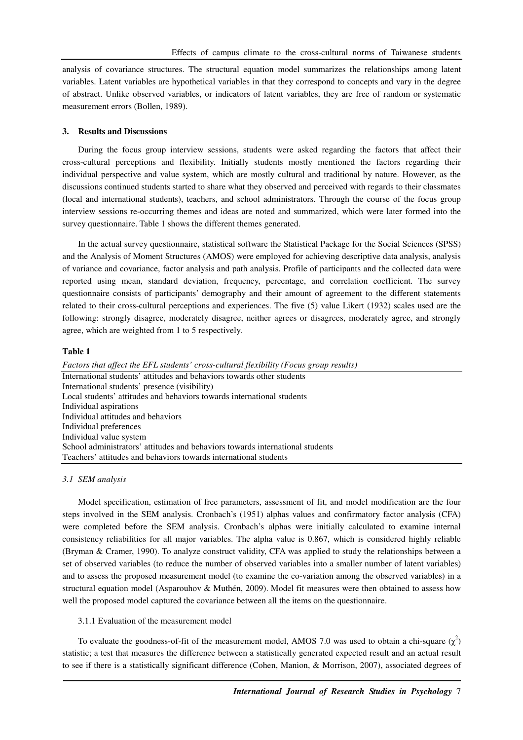analysis of covariance structures. The structural equation model summarizes the relationships among latent variables. Latent variables are hypothetical variables in that they correspond to concepts and vary in the degree of abstract. Unlike observed variables, or indicators of latent variables, they are free of random or systematic measurement errors (Bollen, 1989).

## **3. Results and Discussions**

During the focus group interview sessions, students were asked regarding the factors that affect their cross-cultural perceptions and flexibility. Initially students mostly mentioned the factors regarding their individual perspective and value system, which are mostly cultural and traditional by nature. However, as the discussions continued students started to share what they observed and perceived with regards to their classmates (local and international students), teachers, and school administrators. Through the course of the focus group interview sessions re-occurring themes and ideas are noted and summarized, which were later formed into the survey questionnaire. Table 1 shows the different themes generated.

In the actual survey questionnaire, statistical software the Statistical Package for the Social Sciences (SPSS) and the Analysis of Moment Structures (AMOS) were employed for achieving descriptive data analysis, analysis of variance and covariance, factor analysis and path analysis. Profile of participants and the collected data were reported using mean, standard deviation, frequency, percentage, and correlation coefficient. The survey questionnaire consists of participants' demography and their amount of agreement to the different statements related to their cross-cultural perceptions and experiences. The five (5) value Likert (1932) scales used are the following: strongly disagree, moderately disagree, neither agrees or disagrees, moderately agree, and strongly agree, which are weighted from 1 to 5 respectively.

#### **Table 1**

*Factors that affect the EFL students' cross-cultural flexibility (Focus group results)*  International students' attitudes and behaviors towards other students International students' presence (visibility) Local students' attitudes and behaviors towards international students Individual aspirations Individual attitudes and behaviors Individual preferences Individual value system School administrators' attitudes and behaviors towards international students Teachers' attitudes and behaviors towards international students

## *3.1 SEM analysis*

Model specification, estimation of free parameters, assessment of fit, and model modification are the four steps involved in the SEM analysis. Cronbach's (1951) alphas values and confirmatory factor analysis (CFA) were completed before the SEM analysis. Cronbach's alphas were initially calculated to examine internal consistency reliabilities for all major variables. The alpha value is 0.867, which is considered highly reliable (Bryman & Cramer, 1990). To analyze construct validity, CFA was applied to study the relationships between a set of observed variables (to reduce the number of observed variables into a smaller number of latent variables) and to assess the proposed measurement model (to examine the co-variation among the observed variables) in a structural equation model (Asparouhov & Muthén, 2009). Model fit measures were then obtained to assess how well the proposed model captured the covariance between all the items on the questionnaire.

#### 3.1.1 Evaluation of the measurement model

To evaluate the goodness-of-fit of the measurement model, AMOS 7.0 was used to obtain a chi-square  $(\chi^2)$ statistic; a test that measures the difference between a statistically generated expected result and an actual result to see if there is a statistically significant difference (Cohen, Manion, & Morrison, 2007), associated degrees of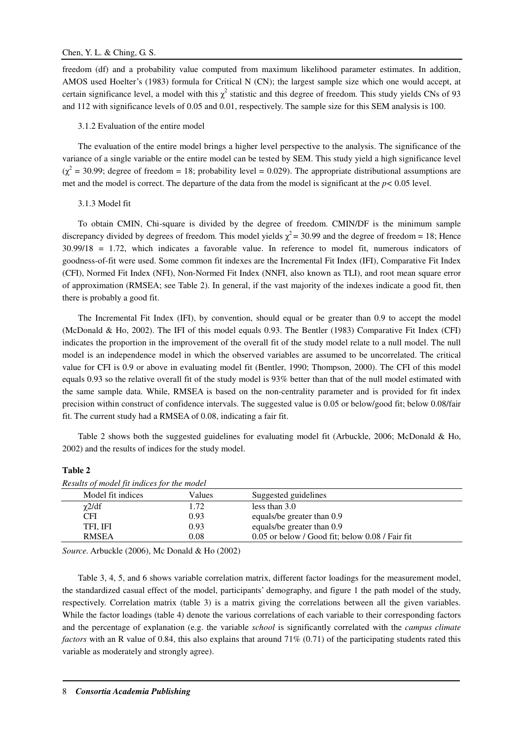freedom (df) and a probability value computed from maximum likelihood parameter estimates. In addition, AMOS used Hoelter's (1983) formula for Critical N (CN); the largest sample size which one would accept, at certain significance level, a model with this  $\chi^2$  statistic and this degree of freedom. This study yields CNs of 93 and 112 with significance levels of 0.05 and 0.01, respectively. The sample size for this SEM analysis is 100.

## 3.1.2 Evaluation of the entire model

The evaluation of the entire model brings a higher level perspective to the analysis. The significance of the variance of a single variable or the entire model can be tested by SEM. This study yield a high significance level  $(\chi^2 = 30.99)$ ; degree of freedom = 18; probability level = 0.029). The appropriate distributional assumptions are met and the model is correct. The departure of the data from the model is significant at the *p<* 0.05 level.

### 3.1.3 Model fit

To obtain CMIN, Chi-square is divided by the degree of freedom. CMIN/DF is the minimum sample discrepancy divided by degrees of freedom. This model yields  $\chi^2$  = 30.99 and the degree of freedom = 18; Hence 30.99/18 = 1.72, which indicates a favorable value. In reference to model fit, numerous indicators of goodness-of-fit were used. Some common fit indexes are the Incremental Fit Index (IFI), Comparative Fit Index (CFI), Normed Fit Index (NFI), Non-Normed Fit Index (NNFI, also known as TLI), and root mean square error of approximation (RMSEA; see Table 2). In general, if the vast majority of the indexes indicate a good fit, then there is probably a good fit.

The Incremental Fit Index (IFI), by convention, should equal or be greater than 0.9 to accept the model (McDonald & Ho, 2002). The IFI of this model equals 0.93. The Bentler (1983) Comparative Fit Index (CFI) indicates the proportion in the improvement of the overall fit of the study model relate to a null model. The null model is an independence model in which the observed variables are assumed to be uncorrelated. The critical value for CFI is 0.9 or above in evaluating model fit (Bentler, 1990; Thompson, 2000). The CFI of this model equals 0.93 so the relative overall fit of the study model is 93% better than that of the null model estimated with the same sample data. While, RMSEA is based on the non-centrality parameter and is provided for fit index precision within construct of confidence intervals. The suggested value is 0.05 or below/good fit; below 0.08/fair fit. The current study had a RMSEA of 0.08, indicating a fair fit.

Table 2 shows both the suggested guidelines for evaluating model fit (Arbuckle, 2006; McDonald & Ho, 2002) and the results of indices for the study model.

## **Table 2**

| Results of model fit indices for the model |        |                                                 |  |  |
|--------------------------------------------|--------|-------------------------------------------------|--|--|
| Model fit indices                          | Values | Suggested guidelines                            |  |  |
| $\chi$ 2/df                                | 1.72   | less than $3.0$                                 |  |  |
| CFI                                        | 0.93   | equals/be greater than 0.9                      |  |  |
| TFI, IFI                                   | 0.93   | equals/be greater than 0.9                      |  |  |
| <b>RMSEA</b>                               | 0.08   | 0.05 or below / Good fit; below 0.08 / Fair fit |  |  |
|                                            |        |                                                 |  |  |

*Source.* Arbuckle (2006), Mc Donald & Ho (2002)

Table 3, 4, 5, and 6 shows variable correlation matrix, different factor loadings for the measurement model, the standardized casual effect of the model, participants' demography, and figure 1 the path model of the study, respectively. Correlation matrix (table 3) is a matrix giving the correlations between all the given variables. While the factor loadings (table 4) denote the various correlations of each variable to their corresponding factors and the percentage of explanation (e.g. the variable *school* is significantly correlated with the *campus climate factors* with an R value of 0.84, this also explains that around 71% (0.71) of the participating students rated this variable as moderately and strongly agree).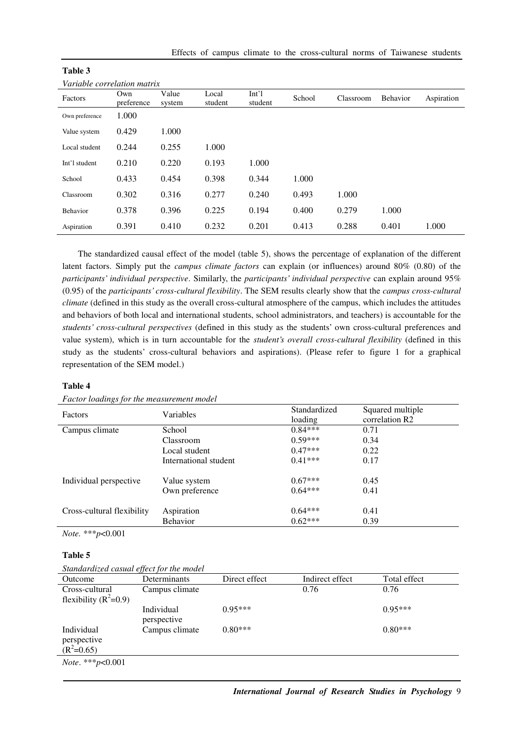| Variable correlation matrix |                   |                 |                  |                             |        |           |          |            |
|-----------------------------|-------------------|-----------------|------------------|-----------------------------|--------|-----------|----------|------------|
| Factors                     | Own<br>preference | Value<br>system | Local<br>student | Int <sup>1</sup><br>student | School | Classroom | Behavior | Aspiration |
| Own preference              | 1.000             |                 |                  |                             |        |           |          |            |
| Value system                | 0.429             | 1.000           |                  |                             |        |           |          |            |
| Local student               | 0.244             | 0.255           | 1.000            |                             |        |           |          |            |
| Int'l student               | 0.210             | 0.220           | 0.193            | 1.000                       |        |           |          |            |
| School                      | 0.433             | 0.454           | 0.398            | 0.344                       | 1.000  |           |          |            |
| Classroom                   | 0.302             | 0.316           | 0.277            | 0.240                       | 0.493  | 1.000     |          |            |
| Behavior                    | 0.378             | 0.396           | 0.225            | 0.194                       | 0.400  | 0.279     | 1.000    |            |
| Aspiration                  | 0.391             | 0.410           | 0.232            | 0.201                       | 0.413  | 0.288     | 0.401    | 1.000      |

| Table 3 |  |
|---------|--|
|         |  |

The standardized causal effect of the model (table 5), shows the percentage of explanation of the different latent factors. Simply put the *campus climate factors* can explain (or influences) around 80% (0.80) of the *participants' individual perspective*. Similarly, the *participants' individual perspective* can explain around 95% (0.95) of the *participants' cross-cultural flexibility*. The SEM results clearly show that the *campus cross-cultural climate* (defined in this study as the overall cross-cultural atmosphere of the campus, which includes the attitudes and behaviors of both local and international students, school administrators, and teachers) is accountable for the *students' cross-cultural perspectives* (defined in this study as the students' own cross-cultural preferences and value system), which is in turn accountable for the *student's overall cross-cultural flexibility* (defined in this study as the students' cross-cultural behaviors and aspirations). (Please refer to figure 1 for a graphical representation of the SEM model.)

### **Table 4**

| Factors                    | Variables             | Standardized<br>loading | Squared multiple<br>correlation R2 |
|----------------------------|-----------------------|-------------------------|------------------------------------|
| Campus climate             | School                | $0.84***$               | 0.71                               |
|                            | Classroom             | $0.59***$               | 0.34                               |
|                            | Local student         | $0.47***$               | 0.22                               |
|                            | International student | $0.41***$               | 0.17                               |
| Individual perspective     | Value system          | $0.67***$               | 0.45                               |
|                            | Own preference        | $0.64***$               | 0.41                               |
| Cross-cultural flexibility | Aspiration            | $0.64***$               | 0.41                               |
|                            | Behavior              | $0.62***$               | 0.39                               |

*Note.* \*\*\**p*<0.001

# **Table 5**

| Outcome                                   | Determinants              | Direct effect | Indirect effect | Total effect |
|-------------------------------------------|---------------------------|---------------|-----------------|--------------|
| Cross-cultural<br>flexibility $(R^2=0.9)$ | Campus climate            |               | 0.76            | 0.76         |
|                                           | Individual<br>perspective | $0.95***$     |                 | $0.95***$    |
| Individual<br>perspective<br>$(R^2=0.65)$ | Campus climate            | $0.80***$     |                 | $0.80***$    |
| <i>Note</i> . *** $p<0.001$               |                           |               |                 |              |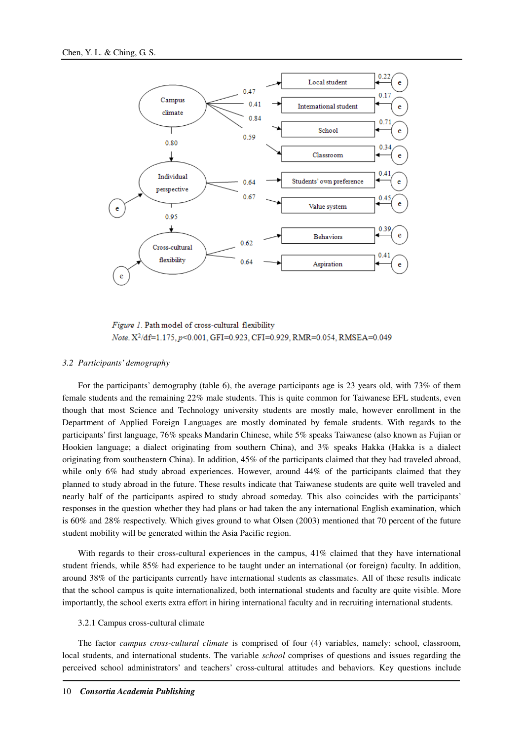

Figure 1. Path model of cross-cultural flexibility Note. X<sup>2</sup>/df=1.175, p<0.001, GFI=0.923, CFI=0.929, RMR=0.054, RMSEA=0.049

#### *3.2 Participants' demography*

For the participants' demography (table 6), the average participants age is 23 years old, with 73% of them female students and the remaining 22% male students. This is quite common for Taiwanese EFL students, even though that most Science and Technology university students are mostly male, however enrollment in the Department of Applied Foreign Languages are mostly dominated by female students. With regards to the participants' first language, 76% speaks Mandarin Chinese, while 5% speaks Taiwanese (also known as Fujian or Hookien language; a dialect originating from southern China), and 3% speaks Hakka (Hakka is a dialect originating from southeastern China). In addition, 45% of the participants claimed that they had traveled abroad, while only 6% had study abroad experiences. However, around 44% of the participants claimed that they planned to study abroad in the future. These results indicate that Taiwanese students are quite well traveled and nearly half of the participants aspired to study abroad someday. This also coincides with the participants' responses in the question whether they had plans or had taken the any international English examination, which is 60% and 28% respectively. Which gives ground to what Olsen (2003) mentioned that 70 percent of the future student mobility will be generated within the Asia Pacific region.

With regards to their cross-cultural experiences in the campus, 41% claimed that they have international student friends, while 85% had experience to be taught under an international (or foreign) faculty. In addition, around 38% of the participants currently have international students as classmates. All of these results indicate that the school campus is quite internationalized, both international students and faculty are quite visible. More importantly, the school exerts extra effort in hiring international faculty and in recruiting international students.

#### 3.2.1 Campus cross-cultural climate

The factor *campus cross-cultural climate* is comprised of four (4) variables, namely: school, classroom, local students, and international students. The variable *school* comprises of questions and issues regarding the perceived school administrators' and teachers' cross-cultural attitudes and behaviors. Key questions include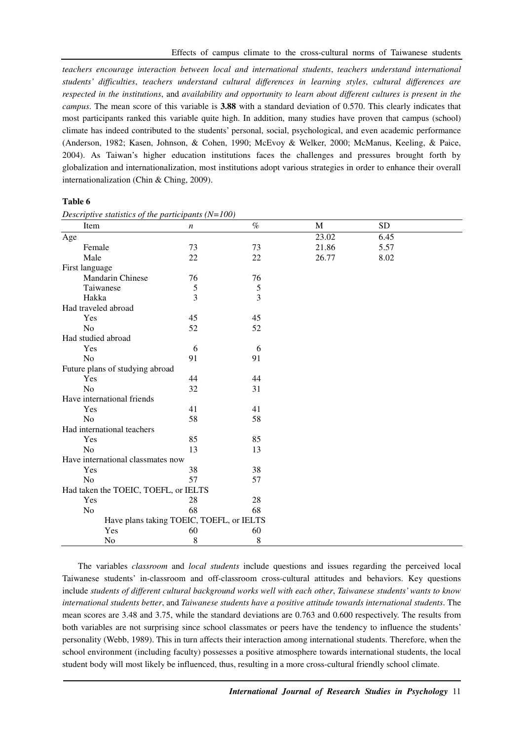*teachers encourage interaction between local and international students*, *teachers understand international students' difficulties*, *teachers understand cultural differences in learning styles*, *cultural differences are respected in the institutions*, and *availability and opportunity to learn about different cultures is present in the campus*. The mean score of this variable is **3.88** with a standard deviation of 0.570. This clearly indicates that most participants ranked this variable quite high. In addition, many studies have proven that campus (school) climate has indeed contributed to the students' personal, social, psychological, and even academic performance (Anderson, 1982; Kasen, Johnson, & Cohen, 1990; McEvoy & Welker, 2000; McManus, Keeling, & Paice, 2004). As Taiwan's higher education institutions faces the challenges and pressures brought forth by globalization and internationalization, most institutions adopt various strategies in order to enhance their overall internationalization (Chin & Ching, 2009).

#### **Table 6**

| Item                                     | $\boldsymbol{n}$ | $\%$       | M     | <b>SD</b> |  |
|------------------------------------------|------------------|------------|-------|-----------|--|
| Age                                      |                  |            | 23.02 | 6.45      |  |
| Female                                   | 73               | 73         | 21.86 | 5.57      |  |
| Male                                     | 22               | 22         | 26.77 | 8.02      |  |
| First language                           |                  |            |       |           |  |
| Mandarin Chinese                         | 76               | 76         |       |           |  |
| Taiwanese                                | $\mathfrak s$    | $\sqrt{5}$ |       |           |  |
| Hakka                                    | $\overline{3}$   | 3          |       |           |  |
| Had traveled abroad                      |                  |            |       |           |  |
| Yes                                      | 45               | 45         |       |           |  |
| N <sub>o</sub>                           | 52               | 52         |       |           |  |
| Had studied abroad                       |                  |            |       |           |  |
| Yes                                      | 6                | 6          |       |           |  |
| N <sub>o</sub>                           | 91               | 91         |       |           |  |
| Future plans of studying abroad          |                  |            |       |           |  |
| Yes                                      | 44               | 44         |       |           |  |
| No                                       | 32               | 31         |       |           |  |
| Have international friends               |                  |            |       |           |  |
| Yes                                      | 41               | 41         |       |           |  |
| No                                       | 58               | 58         |       |           |  |
| Had international teachers               |                  |            |       |           |  |
| Yes                                      | 85               | 85         |       |           |  |
| No                                       | 13               | 13         |       |           |  |
| Have international classmates now        |                  |            |       |           |  |
| Yes                                      | 38               | 38         |       |           |  |
| N <sub>o</sub>                           | 57               | 57         |       |           |  |
| Had taken the TOEIC, TOEFL, or IELTS     |                  |            |       |           |  |
| Yes                                      | 28               | 28         |       |           |  |
| N <sub>o</sub>                           | 68               | 68         |       |           |  |
| Have plans taking TOEIC, TOEFL, or IELTS |                  |            |       |           |  |
| Yes                                      | 60               | 60         |       |           |  |
| No                                       | 8                | 8          |       |           |  |

*Descriptive statistics of the participants (N=100)* 

The variables *classroom* and *local students* include questions and issues regarding the perceived local Taiwanese students' in-classroom and off-classroom cross-cultural attitudes and behaviors. Key questions include *students of different cultural background works well with each other*, *Taiwanese students' wants to know international students better*, and *Taiwanese students have a positive attitude towards international students*. The mean scores are 3.48 and 3.75, while the standard deviations are 0.763 and 0.600 respectively. The results from both variables are not surprising since school classmates or peers have the tendency to influence the students' personality (Webb, 1989). This in turn affects their interaction among international students. Therefore, when the school environment (including faculty) possesses a positive atmosphere towards international students, the local student body will most likely be influenced, thus, resulting in a more cross-cultural friendly school climate.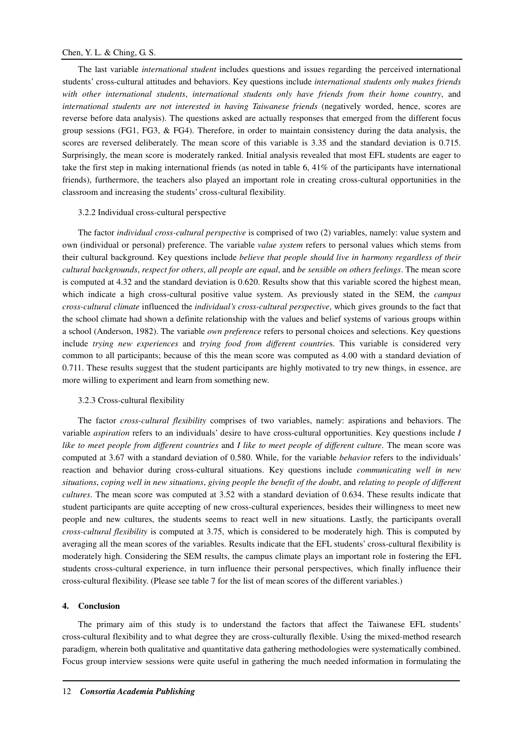The last variable *international student* includes questions and issues regarding the perceived international students' cross-cultural attitudes and behaviors. Key questions include *international students only makes friends with other international students*, *international students only have friends from their home country*, and *international students are not interested in having Taiwanese friends* (negatively worded, hence, scores are reverse before data analysis). The questions asked are actually responses that emerged from the different focus group sessions (FG1, FG3,  $&$  FG4). Therefore, in order to maintain consistency during the data analysis, the scores are reversed deliberately. The mean score of this variable is 3.35 and the standard deviation is 0.715. Surprisingly, the mean score is moderately ranked. Initial analysis revealed that most EFL students are eager to take the first step in making international friends (as noted in table 6, 41% of the participants have international friends), furthermore, the teachers also played an important role in creating cross-cultural opportunities in the classroom and increasing the students' cross-cultural flexibility.

#### 3.2.2 Individual cross-cultural perspective

The factor *individual cross-cultural perspective* is comprised of two (2) variables, namely: value system and own (individual or personal) preference. The variable *value system* refers to personal values which stems from their cultural background. Key questions include *believe that people should live in harmony regardless of their cultural backgrounds*, *respect for others*, *all people are equal*, and *be sensible on others feelings*. The mean score is computed at 4.32 and the standard deviation is 0.620. Results show that this variable scored the highest mean, which indicate a high cross-cultural positive value system. As previously stated in the SEM, the *campus cross-cultural climate* influenced the *individual's cross-cultural perspective*, which gives grounds to the fact that the school climate had shown a definite relationship with the values and belief systems of various groups within a school (Anderson, 1982). The variable *own preference* refers to personal choices and selections. Key questions include *trying new experiences* and *trying food from different countrie*s. This variable is considered very common to all participants; because of this the mean score was computed as 4.00 with a standard deviation of 0.711. These results suggest that the student participants are highly motivated to try new things, in essence, are more willing to experiment and learn from something new.

#### 3.2.3 Cross-cultural flexibility

The factor *cross-cultural flexibility* comprises of two variables, namely: aspirations and behaviors. The variable *aspiration* refers to an individuals' desire to have cross-cultural opportunities. Key questions include *I like to meet people from different countries* and *I like to meet people of different culture*. The mean score was computed at 3.67 with a standard deviation of 0.580. While, for the variable *behavior* refers to the individuals' reaction and behavior during cross-cultural situations. Key questions include *communicating well in new situations*, *coping well in new situations*, *giving people the benefit of the doubt*, and *relating to people of different cultures*. The mean score was computed at 3.52 with a standard deviation of 0.634. These results indicate that student participants are quite accepting of new cross-cultural experiences, besides their willingness to meet new people and new cultures, the students seems to react well in new situations. Lastly, the participants overall *cross-cultural flexibility* is computed at 3.75, which is considered to be moderately high. This is computed by averaging all the mean scores of the variables. Results indicate that the EFL students' cross-cultural flexibility is moderately high. Considering the SEM results, the campus climate plays an important role in fostering the EFL students cross-cultural experience, in turn influence their personal perspectives, which finally influence their cross-cultural flexibility. (Please see table 7 for the list of mean scores of the different variables.)

#### **4. Conclusion**

The primary aim of this study is to understand the factors that affect the Taiwanese EFL students' cross-cultural flexibility and to what degree they are cross-culturally flexible. Using the mixed-method research paradigm, wherein both qualitative and quantitative data gathering methodologies were systematically combined. Focus group interview sessions were quite useful in gathering the much needed information in formulating the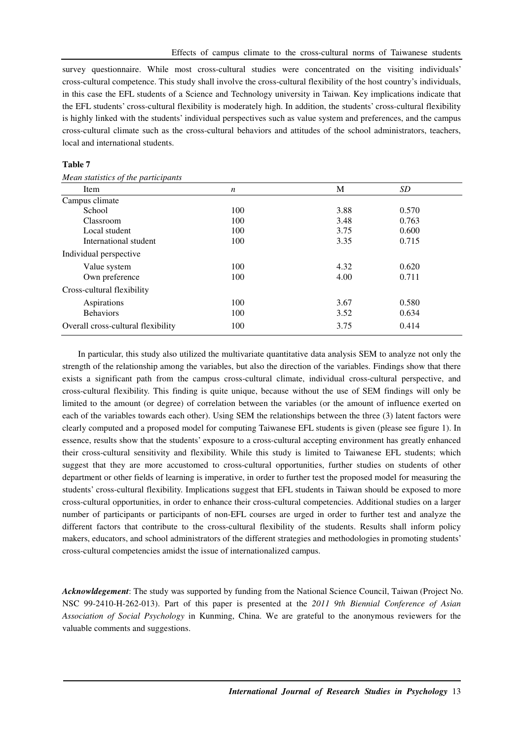survey questionnaire. While most cross-cultural studies were concentrated on the visiting individuals' cross-cultural competence. This study shall involve the cross-cultural flexibility of the host country's individuals, in this case the EFL students of a Science and Technology university in Taiwan. Key implications indicate that the EFL students' cross-cultural flexibility is moderately high. In addition, the students' cross-cultural flexibility is highly linked with the students' individual perspectives such as value system and preferences, and the campus cross-cultural climate such as the cross-cultural behaviors and attitudes of the school administrators, teachers, local and international students.

#### **Table 7**

| n   | M    | SD.   |  |
|-----|------|-------|--|
|     |      |       |  |
| 100 | 3.88 | 0.570 |  |
| 100 | 3.48 | 0.763 |  |
| 100 | 3.75 | 0.600 |  |
| 100 | 3.35 | 0.715 |  |
|     |      |       |  |
| 100 | 4.32 | 0.620 |  |
| 100 | 4.00 | 0.711 |  |
|     |      |       |  |
| 100 | 3.67 | 0.580 |  |
| 100 | 3.52 | 0.634 |  |
| 100 | 3.75 | 0.414 |  |
|     |      |       |  |

*Mean statistics of the participants* 

In particular, this study also utilized the multivariate quantitative data analysis SEM to analyze not only the strength of the relationship among the variables, but also the direction of the variables. Findings show that there exists a significant path from the campus cross-cultural climate, individual cross-cultural perspective, and cross-cultural flexibility. This finding is quite unique, because without the use of SEM findings will only be limited to the amount (or degree) of correlation between the variables (or the amount of influence exerted on each of the variables towards each other). Using SEM the relationships between the three (3) latent factors were clearly computed and a proposed model for computing Taiwanese EFL students is given (please see figure 1). In essence, results show that the students' exposure to a cross-cultural accepting environment has greatly enhanced their cross-cultural sensitivity and flexibility. While this study is limited to Taiwanese EFL students; which suggest that they are more accustomed to cross-cultural opportunities, further studies on students of other department or other fields of learning is imperative, in order to further test the proposed model for measuring the students' cross-cultural flexibility. Implications suggest that EFL students in Taiwan should be exposed to more cross-cultural opportunities, in order to enhance their cross-cultural competencies. Additional studies on a larger number of participants or participants of non-EFL courses are urged in order to further test and analyze the different factors that contribute to the cross-cultural flexibility of the students. Results shall inform policy makers, educators, and school administrators of the different strategies and methodologies in promoting students' cross-cultural competencies amidst the issue of internationalized campus.

*Acknowldegement*: The study was supported by funding from the National Science Council, Taiwan (Project No. NSC 99-2410-H-262-013). Part of this paper is presented at the *2011 9th Biennial Conference of Asian Association of Social Psychology* in Kunming, China. We are grateful to the anonymous reviewers for the valuable comments and suggestions.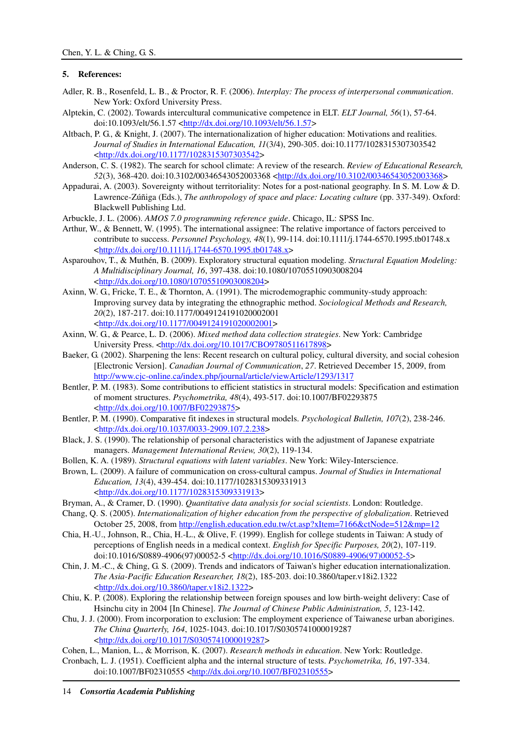# **5. References:**

- Adler, R. B., Rosenfeld, L. B., & Proctor, R. F. (2006). *Interplay: The process of interpersonal communication*. New York: Oxford University Press.
- Alptekin, C. (2002). Towards intercultural communicative competence in ELT. *ELT Journal, 56*(1), 57-64. doi:10.1093/elt/56.1.57 <http://dx.doi.org/10.1093/elt/56.1.57>
- Altbach, P. G., & Knight, J. (2007). The internationalization of higher education: Motivations and realities. *Journal of Studies in International Education, 11*(3/4), 290-305. doi:10.1177/1028315307303542 <http://dx.doi.org/10.1177/1028315307303542>
- Anderson, C. S. (1982). The search for school climate: A review of the research. *Review of Educational Research, 52*(3), 368-420. doi:10.3102/00346543052003368 <http://dx.doi.org/10.3102/00346543052003368>
- Appadurai, A. (2003). Sovereignty without territoriality: Notes for a post-national geography. In S. M. Low & D. Lawrence-Zúñiga (Eds.), *The anthropology of space and place: Locating culture* (pp. 337-349). Oxford: Blackwell Publishing Ltd.
- Arbuckle, J. L. (2006). *AMOS 7.0 programming reference guide*. Chicago, IL: SPSS Inc.
- Arthur, W., & Bennett, W. (1995). The international assignee: The relative importance of factors perceived to contribute to success. *Personnel Psychology, 48*(1), 99-114. doi:10.1111/j.1744-6570.1995.tb01748.x <http://dx.doi.org/10.1111/j.1744-6570.1995.tb01748.x>
- Asparouhov, T., & Muthén, B. (2009). Exploratory structural equation modeling. *Structural Equation Modeling: A Multidisciplinary Journal, 16*, 397-438. doi:10.1080/10705510903008204 <http://dx.doi.org/10.1080/10705510903008204>
- Axinn, W. G., Fricke, T. E., & Thornton, A. (1991). The microdemographic community-study approach: Improving survey data by integrating the ethnographic method. *Sociological Methods and Research, 20*(2), 187-217. doi:10.1177/0049124191020002001 <http://dx.doi.org/10.1177/0049124191020002001>
- Axinn, W. G., & Pearce, L. D. (2006). *Mixed method data collection strategies*. New York: Cambridge University Press. <http://dx.doi.org/10.1017/CBO9780511617898>
- Baeker, G. (2002). Sharpening the lens: Recent research on cultural policy, cultural diversity, and social cohesion [Electronic Version]. *Canadian Journal of Communication*, *27*. Retrieved December 15, 2009, from http://www.cjc-online.ca/index.php/journal/article/viewArticle/1293/1317
- Bentler, P. M. (1983). Some contributions to efficient statistics in structural models: Specification and estimation of moment structures. *Psychometrika, 48*(4), 493-517. doi:10.1007/BF02293875 <http://dx.doi.org/10.1007/BF02293875>
- Bentler, P. M. (1990). Comparative fit indexes in structural models. *Psychological Bulletin, 107*(2), 238-246. <http://dx.doi.org/10.1037/0033-2909.107.2.238>
- Black, J. S. (1990). The relationship of personal characteristics with the adjustment of Japanese expatriate managers. *Management International Review, 30*(2), 119-134.
- Bollen, K. A. (1989). *Structural equations with latent variables*. New York: Wiley-Interscience.
- Brown, L. (2009). A failure of communication on cross-cultural campus. *Journal of Studies in International Education, 13*(4), 439-454. doi:10.1177/1028315309331913 <http://dx.doi.org/10.1177/1028315309331913>
- Bryman, A., & Cramer, D. (1990). *Quantitative data analysis for social scientists*. London: Routledge.
- Chang, Q. S. (2005). *Internationalization of higher education from the perspective of globalization*. Retrieved October 25, 2008, from http://english.education.edu.tw/ct.asp?xItem=7166&ctNode=512&mp=12
- Chia, H.-U., Johnson, R., Chia, H.-L., & Olive, F. (1999). English for college students in Taiwan: A study of perceptions of English needs in a medical context. *English for Specific Purposes, 20*(2), 107-119. doi:10.1016/S0889-4906(97)00052-5 <http://dx.doi.org/10.1016/S0889-4906(97)00052-5>
- Chin, J. M.-C., & Ching, G. S. (2009). Trends and indicators of Taiwan's higher education internationalization. *The Asia-Pacific Education Researcher, 18*(2), 185-203. doi:10.3860/taper.v18i2.1322 <http://dx.doi.org/10.3860/taper.v18i2.1322>
- Chiu, K. P. (2008). Exploring the relationship between foreign spouses and low birth-weight delivery: Case of Hsinchu city in 2004 [In Chinese]. *The Journal of Chinese Public Administration, 5*, 123-142.
- Chu, J. J. (2000). From incorporation to exclusion: The employment experience of Taiwanese urban aborigines. *The China Quarterly, 164*, 1025-1043. doi:10.1017/S0305741000019287 <http://dx.doi.org/10.1017/S0305741000019287>
- Cohen, L., Manion, L., & Morrison, K. (2007). *Research methods in education*. New York: Routledge.
- Cronbach, L. J. (1951). Coefficient alpha and the internal structure of tests. *Psychometrika, 16*, 197-334. doi:10.1007/BF02310555 <http://dx.doi.org/10.1007/BF02310555>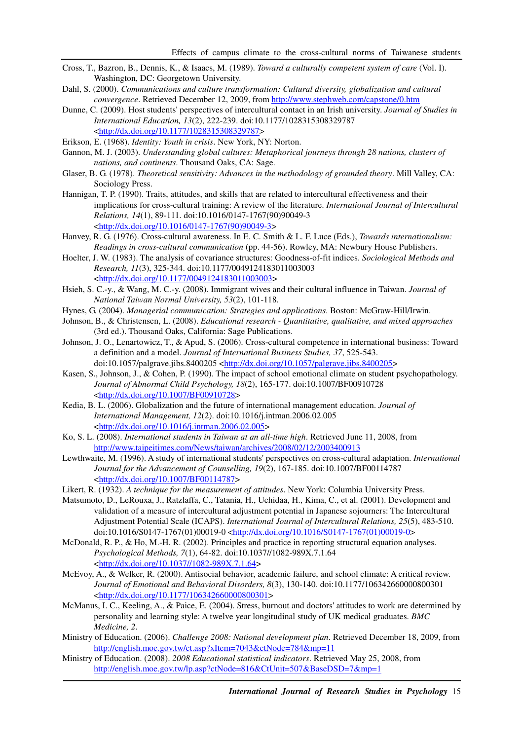- Cross, T., Bazron, B., Dennis, K., & Isaacs, M. (1989). *Toward a culturally competent system of care* (Vol. I). Washington, DC: Georgetown University.
- Dahl, S. (2000). *Communications and culture transformation: Cultural diversity, globalization and cultural convergence*. Retrieved December 12, 2009, from http://www.stephweb.com/capstone/0.htm
- Dunne, C. (2009). Host students' perspectives of intercultural contact in an Irish university. *Journal of Studies in International Education, 13*(2), 222-239. doi:10.1177/1028315308329787 <http://dx.doi.org/10.1177/1028315308329787>
- Erikson, E. (1968). *Identity: Youth in crisis*. New York, NY: Norton.
- Gannon, M. J. (2003). *Understanding global cultures: Metaphorical journeys through 28 nations, clusters of nations, and continents*. Thousand Oaks, CA: Sage.
- Glaser, B. G. (1978). *Theoretical sensitivity: Advances in the methodology of grounded theory*. Mill Valley, CA: Sociology Press.
- Hannigan, T. P. (1990). Traits, attitudes, and skills that are related to intercultural effectiveness and their implications for cross-cultural training: A review of the literature. *International Journal of Intercultural Relations, 14*(1), 89-111. doi:10.1016/0147-1767(90)90049-3 <http://dx.doi.org/10.1016/0147-1767(90)90049-3>
- Hanvey, R. G. (1976). Cross-cultural awareness. In E. C. Smith & L. F. Luce (Eds.), *Towards internationalism: Readings in cross-cultural communication* (pp. 44-56). Rowley, MA: Newbury House Publishers.
- Hoelter, J. W. (1983). The analysis of covariance structures: Goodness-of-fit indices. *Sociological Methods and Research, 11*(3), 325-344. doi:10.1177/0049124183011003003 <http://dx.doi.org/10.1177/0049124183011003003>
- Hsieh, S. C.-y., & Wang, M. C.-y. (2008). Immigrant wives and their cultural influence in Taiwan. *Journal of National Taiwan Normal University, 53*(2), 101-118.
- Hynes, G. (2004). *Managerial communication: Strategies and applications*. Boston: McGraw-Hill/Irwin.
- Johnson, B., & Christensen, L. (2008). *Educational research Quantitative, qualitative, and mixed approaches* (3rd ed.). Thousand Oaks, California: Sage Publications.
- Johnson, J. O., Lenartowicz, T., & Apud, S. (2006). Cross-cultural competence in international business: Toward a definition and a model. *Journal of International Business Studies, 37*, 525-543. doi:10.1057/palgrave.jibs.8400205 <http://dx.doi.org/10.1057/palgrave.jibs.8400205>
- Kasen, S., Johnson, J., & Cohen, P. (1990). The impact of school emotional climate on student psychopathology. *Journal of Abnormal Child Psychology, 18*(2), 165-177. doi:10.1007/BF00910728 <http://dx.doi.org/10.1007/BF00910728>
- Kedia, B. L. (2006). Globalization and the future of international management education. *Journal of International Management, 12*(2). doi:10.1016/j.intman.2006.02.005 <http://dx.doi.org/10.1016/j.intman.2006.02.005>
- Ko, S. L. (2008). *International students in Taiwan at an all-time high*. Retrieved June 11, 2008, from http://www.taipeitimes.com/News/taiwan/archives/2008/02/12/2003400913
- Lewthwaite, M. (1996). A study of international students' perspectives on cross-cultural adaptation. *International Journal for the Advancement of Counselling, 19*(2), 167-185. doi:10.1007/BF00114787 <http://dx.doi.org/10.1007/BF00114787>
- Likert, R. (1932). *A technique for the measurement of attitudes*. New York: Columbia University Press.
- Matsumoto, D., LeRouxa, J., Ratzlaffa, C., Tatania, H., Uchidaa, H., Kima, C., et al. (2001). Development and validation of a measure of intercultural adjustment potential in Japanese sojourners: The Intercultural Adjustment Potential Scale (ICAPS). *International Journal of Intercultural Relations, 25*(5), 483-510. doi:10.1016/S0147-1767(01)00019-0 <http://dx.doi.org/10.1016/S0147-1767(01)00019-0>
- McDonald, R. P., & Ho, M.-H. R. (2002). Principles and practice in reporting structural equation analyses. *Psychological Methods, 7*(1), 64-82. doi:10.1037//1082-989X.7.1.64 <http://dx.doi.org/10.1037//1082-989X.7.1.64>
- McEvoy, A., & Welker, R. (2000). Antisocial behavior, academic failure, and school climate: A critical review. *Journal of Emotional and Behavioral Disorders, 8*(3), 130-140. doi:10.1177/106342660000800301 <http://dx.doi.org/10.1177/106342660000800301>
- McManus, I. C., Keeling, A., & Paice, E. (2004). Stress, burnout and doctors' attitudes to work are determined by personality and learning style: A twelve year longitudinal study of UK medical graduates. *BMC Medicine, 2*.
- Ministry of Education. (2006). *Challenge 2008: National development plan*. Retrieved December 18, 2009, from http://english.moe.gov.tw/ct.asp?xItem=7043&ctNode=784&mp=11
- Ministry of Education. (2008). *2008 Educational statistical indicators*. Retrieved May 25, 2008, from http://english.moe.gov.tw/lp.asp?ctNode=816&CtUnit=507&BaseDSD=7&mp=1